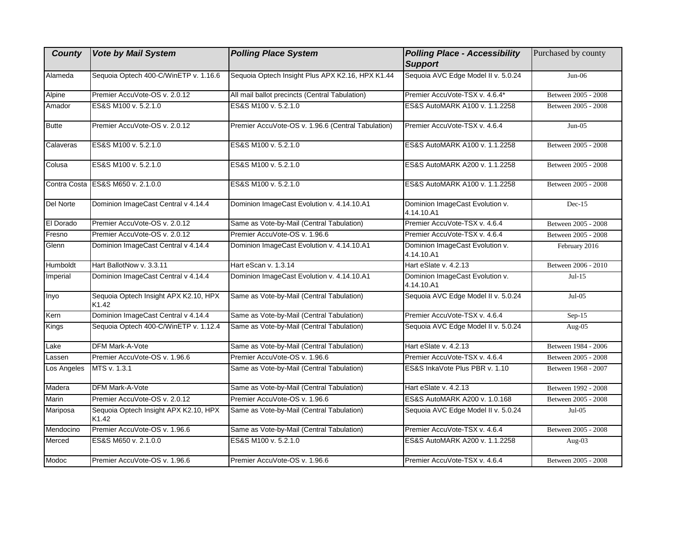| <b>County</b> | <b>Vote by Mail System</b>                     | <b>Polling Place System</b>                        | <b>Polling Place - Accessibility</b><br><b>Support</b> | Purchased by county |
|---------------|------------------------------------------------|----------------------------------------------------|--------------------------------------------------------|---------------------|
| Alameda       | Sequoia Optech 400-C/WinETP v. 1.16.6          | Sequoia Optech Insight Plus APX K2.16, HPX K1.44   | Sequoia AVC Edge Model II v. 5.0.24                    | $Jun-06$            |
| Alpine        | Premier AccuVote-OS v. 2.0.12                  | All mail ballot precincts (Central Tabulation)     | Premier AccuVote-TSX v. 4.6.4*                         | Between 2005 - 2008 |
| Amador        | ES&S M100 v. 5.2.1.0                           | ES&S M100 v. 5.2.1.0                               | ES&S AutoMARK A100 v. 1.1.2258                         | Between 2005 - 2008 |
| <b>Butte</b>  | Premier AccuVote-OS v. 2.0.12                  | Premier AccuVote-OS v. 1.96.6 (Central Tabulation) | Premier AccuVote-TSX v. 4.6.4                          | $Jun-05$            |
| Calaveras     | ES&S M100 v. 5.2.1.0                           | ES&S M100 v. 5.2.1.0                               | ES&S AutoMARK A100 v. 1.1.2258                         | Between 2005 - 2008 |
| Colusa        | ES&S M100 v. 5.2.1.0                           | ES&S M100 v. 5.2.1.0                               | ES&S AutoMARK A200 v. 1.1.2258                         | Between 2005 - 2008 |
|               | Contra Costa ES&S M650 v. 2.1.0.0              | ES&S M100 v. 5.2.1.0                               | ES&S AutoMARK A100 v. 1.1.2258                         | Between 2005 - 2008 |
| Del Norte     | Dominion ImageCast Central v 4.14.4            | Dominion ImageCast Evolution v. 4.14.10.A1         | Dominion ImageCast Evolution v.<br>4.14.10.A1          | $Dec-15$            |
| El Dorado     | Premier AccuVote-OS v. 2.0.12                  | Same as Vote-by-Mail (Central Tabulation)          | Premier AccuVote-TSX v. 4.6.4                          | Between 2005 - 2008 |
| Fresno        | Premier AccuVote-OS v. 2.0.12                  | Premier AccuVote-OS v. 1.96.6                      | Premier AccuVote-TSX v. 4.6.4                          | Between 2005 - 2008 |
| Glenn         | Dominion ImageCast Central v 4.14.4            | Dominion ImageCast Evolution v. 4.14.10.A1         | Dominion ImageCast Evolution v.<br>4.14.10.A1          | February 2016       |
| Humboldt      | Hart BallotNow v. 3.3.11                       | Hart eScan v. 1.3.14                               | Hart eSlate v. 4.2.13                                  | Between 2006 - 2010 |
| Imperial      | Dominion ImageCast Central v 4.14.4            | Dominion ImageCast Evolution v. 4.14.10.A1         | Dominion ImageCast Evolution v.<br>4.14.10.A1          | $Jul-15$            |
| Inyo          | Sequoia Optech Insight APX K2.10, HPX<br>K1.42 | Same as Vote-by-Mail (Central Tabulation)          | Sequoia AVC Edge Model II v. 5.0.24                    | $Jul-05$            |
| Kern          | Dominion ImageCast Central v 4.14.4            | Same as Vote-by-Mail (Central Tabulation)          | Premier AccuVote-TSX v. 4.6.4                          | $Sep-15$            |
| Kings         | Sequoia Optech 400-C/WinETP v. 1.12.4          | Same as Vote-by-Mail (Central Tabulation)          | Sequoia AVC Edge Model II v. 5.0.24                    | Aug- $05$           |
| Lake          | DFM Mark-A-Vote                                | Same as Vote-by-Mail (Central Tabulation)          | Hart eSlate v. 4.2.13                                  | Between 1984 - 2006 |
| Lassen        | Premier AccuVote-OS v. 1.96.6                  | Premier AccuVote-OS v. 1.96.6                      | Premier AccuVote-TSX v. 4.6.4                          | Between 2005 - 2008 |
| Los Angeles   | MTS v. 1.3.1                                   | Same as Vote-by-Mail (Central Tabulation)          | ES&S InkaVote Plus PBR v. 1.10                         | Between 1968 - 2007 |
| Madera        | DFM Mark-A-Vote                                | Same as Vote-by-Mail (Central Tabulation)          | Hart eSlate v. 4.2.13                                  | Between 1992 - 2008 |
| Marin         | Premier AccuVote-OS v. 2.0.12                  | Premier AccuVote-OS v. 1.96.6                      | ES&S AutoMARK A200 v. 1.0.168                          | Between 2005 - 2008 |
| Mariposa      | Sequoia Optech Insight APX K2.10, HPX<br>K1.42 | Same as Vote-by-Mail (Central Tabulation)          | Sequoia AVC Edge Model II v. 5.0.24                    | $Jul-05$            |
| Mendocino     | Premier AccuVote-OS v. 1.96.6                  | Same as Vote-by-Mail (Central Tabulation)          | Premier AccuVote-TSX v. 4.6.4                          | Between 2005 - 2008 |
| Merced        | ES&S M650 v. 2.1.0.0                           | ES&S M100 v. 5.2.1.0                               | ES&S AutoMARK A200 v. 1.1.2258                         | Aug-03              |
| Modoc         | Premier AccuVote-OS v. 1.96.6                  | Premier AccuVote-OS v. 1.96.6                      | Premier AccuVote-TSX v. 4.6.4                          | Between 2005 - 2008 |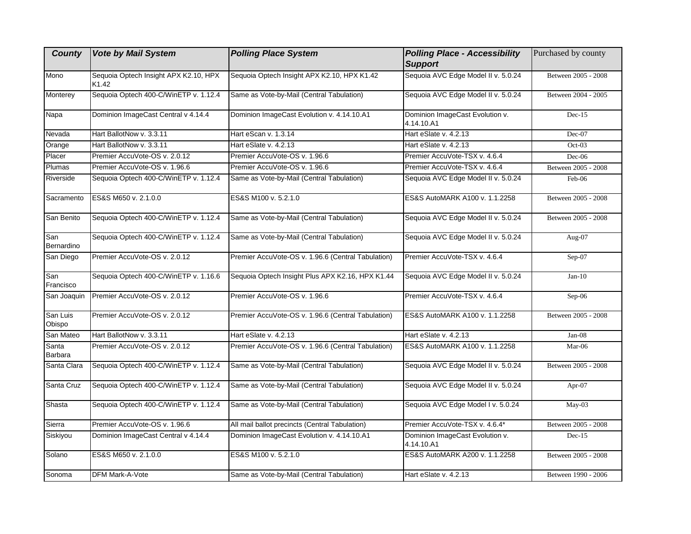| <b>County</b>      | <b>Vote by Mail System</b>                     | <b>Polling Place System</b>                        | <b>Polling Place - Accessibility</b><br><b>Support</b> | Purchased by county |
|--------------------|------------------------------------------------|----------------------------------------------------|--------------------------------------------------------|---------------------|
| Mono               | Sequoia Optech Insight APX K2.10, HPX<br>K1.42 | Sequoia Optech Insight APX K2.10, HPX K1.42        | Sequoia AVC Edge Model II v. 5.0.24                    | Between 2005 - 2008 |
| Monterey           | Sequoia Optech 400-C/WinETP v. 1.12.4          | Same as Vote-by-Mail (Central Tabulation)          | Sequoia AVC Edge Model II v. 5.0.24                    | Between 2004 - 2005 |
| Napa               | Dominion ImageCast Central v 4.14.4            | Dominion ImageCast Evolution v. 4.14.10.A1         | Dominion ImageCast Evolution v.<br>4.14.10.A1          | $Dec-15$            |
| Nevada             | Hart BallotNow v. 3.3.11                       | Hart eScan v. 1.3.14                               | Hart eSlate v. 4.2.13                                  | $Dec-07$            |
| Orange             | Hart BallotNow v. 3.3.11                       | Hart eSlate v. 4.2.13                              | Hart eSlate v. 4.2.13                                  | $Oct-03$            |
| Placer             | Premier AccuVote-OS v. 2.0.12                  | Premier AccuVote-OS v. 1.96.6                      | Premier AccuVote-TSX v. 4.6.4                          | $Dec-06$            |
| Plumas             | Premier AccuVote-OS v. 1.96.6                  | Premier AccuVote-OS v. 1.96.6                      | Premier AccuVote-TSX v. 4.6.4                          | Between 2005 - 2008 |
| Riverside          | Sequoia Optech 400-C/WinETP v. 1.12.4          | Same as Vote-by-Mail (Central Tabulation)          | Sequoia AVC Edge Model II v. 5.0.24                    | Feb-06              |
| Sacramento         | ES&S M650 v. 2.1.0.0                           | ES&S M100 v. 5.2.1.0                               | ES&S AutoMARK A100 v. 1.1.2258                         | Between 2005 - 2008 |
| San Benito         | Sequoia Optech 400-C/WinETP v. 1.12.4          | Same as Vote-by-Mail (Central Tabulation)          | Sequoia AVC Edge Model II v. 5.0.24                    | Between 2005 - 2008 |
| San<br>Bernardino  | Sequoia Optech 400-C/WinETP v. 1.12.4          | Same as Vote-by-Mail (Central Tabulation)          | Sequoia AVC Edge Model II v. 5.0.24                    | Aug-07              |
| San Diego          | Premier AccuVote-OS v. 2.0.12                  | Premier AccuVote-OS v. 1.96.6 (Central Tabulation) | Premier AccuVote-TSX v. 4.6.4                          | Sep-07              |
| San<br>Francisco   | Sequoia Optech 400-C/WinETP v. 1.16.6          | Sequoia Optech Insight Plus APX K2.16, HPX K1.44   | Sequoia AVC Edge Model II v. 5.0.24                    | $Jan-10$            |
| San Joaquin        | Premier AccuVote-OS v. 2.0.12                  | Premier AccuVote-OS v. 1.96.6                      | Premier AccuVote-TSX v. 4.6.4                          | $Sep-06$            |
| San Luis<br>Obispo | Premier AccuVote-OS v. 2.0.12                  | Premier AccuVote-OS v. 1.96.6 (Central Tabulation) | ES&S AutoMARK A100 v. 1.1.2258                         | Between 2005 - 2008 |
| San Mateo          | Hart BallotNow v. 3.3.11                       | Hart eSlate v. 4.2.13                              | Hart eSlate v. 4.2.13                                  | Jan-08              |
| Santa<br>Barbara   | Premier AccuVote-OS v. 2.0.12                  | Premier AccuVote-OS v. 1.96.6 (Central Tabulation) | ES&S AutoMARK A100 v. 1.1.2258                         | Mar-06              |
| Santa Clara        | Sequoia Optech 400-C/WinETP v. 1.12.4          | Same as Vote-by-Mail (Central Tabulation)          | Sequoia AVC Edge Model II v. 5.0.24                    | Between 2005 - 2008 |
| Santa Cruz         | Sequoia Optech 400-C/WinETP v. 1.12.4          | Same as Vote-by-Mail (Central Tabulation)          | Sequoia AVC Edge Model II v. 5.0.24                    | Apr- $07$           |
| Shasta             | Sequoia Optech 400-C/WinETP v. 1.12.4          | Same as Vote-by-Mail (Central Tabulation)          | Sequoia AVC Edge Model I v. 5.0.24                     | May-03              |
| Sierra             | Premier AccuVote-OS v. 1.96.6                  | All mail ballot precincts (Central Tabulation)     | Premier AccuVote-TSX v. 4.6.4*                         | Between 2005 - 2008 |
| Siskiyou           | Dominion ImageCast Central v 4.14.4            | Dominion ImageCast Evolution v. 4.14.10.A1         | Dominion ImageCast Evolution v.<br>4.14.10.A1          | $Dec-15$            |
| Solano             | ES&S M650 v. 2.1.0.0                           | ES&S M100 v. 5.2.1.0                               | ES&S AutoMARK A200 v. 1.1.2258                         | Between 2005 - 2008 |
| Sonoma             | <b>DFM Mark-A-Vote</b>                         | Same as Vote-by-Mail (Central Tabulation)          | Hart eSlate v. 4.2.13                                  | Between 1990 - 2006 |